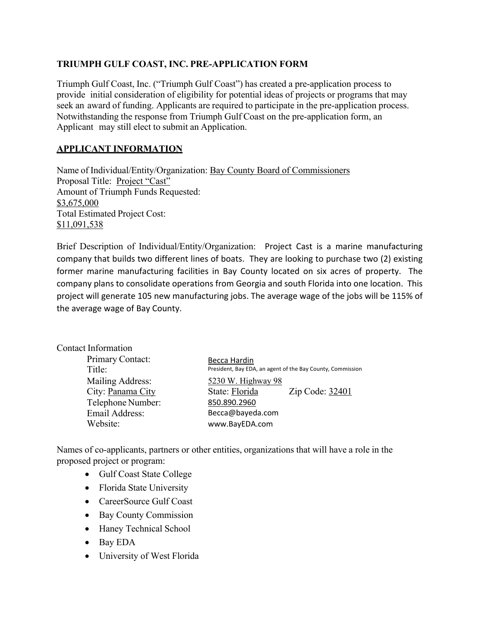# **TRIUMPH GULF COAST, INC. PRE-APPLICATION FORM**

Triumph Gulf Coast, Inc. ("Triumph Gulf Coast") has created a pre-application process to provide initial consideration of eligibility for potential ideas of projects or programs that may seek an award of funding. Applicants are required to participate in the pre-application process. Notwithstanding the response from Triumph Gulf Coast on the pre-application form, an Applicant may still elect to submit an Application.

## **APPLICANT INFORMATION**

Name of Individual/Entity/Organization: Bay County Board of Commissioners Proposal Title: Project "Cast" Amount of Triumph Funds Requested: \$3,675,000 Total Estimated Project Cost: \$11,091,538

Brief Description of Individual/Entity/Organization: Project Cast is a marine manufacturing company that builds two different lines of boats. They are looking to purchase two (2) existing former marine manufacturing facilities in Bay County located on six acres of property. The company plans to consolidate operations from Georgia and south Florida into one location. This project will generate 105 new manufacturing jobs. The average wage of the jobs will be 115% of the average wage of Bay County.

| Becca Hardin                                               |  |
|------------------------------------------------------------|--|
| President, Bay EDA, an agent of the Bay County, Commission |  |
| 5230 W. Highway 98                                         |  |
| State: Florida<br>Zip Code: 32401                          |  |
| 850.890.2960                                               |  |
| Becca@bayeda.com                                           |  |
| www.BayEDA.com                                             |  |
|                                                            |  |

Names of co-applicants, partners or other entities, organizations that will have a role in the proposed project or program:

- Gulf Coast State College
- Florida State University
- CareerSource Gulf Coast
- Bay County Commission
- Haney Technical School
- Bay EDA
- University of West Florida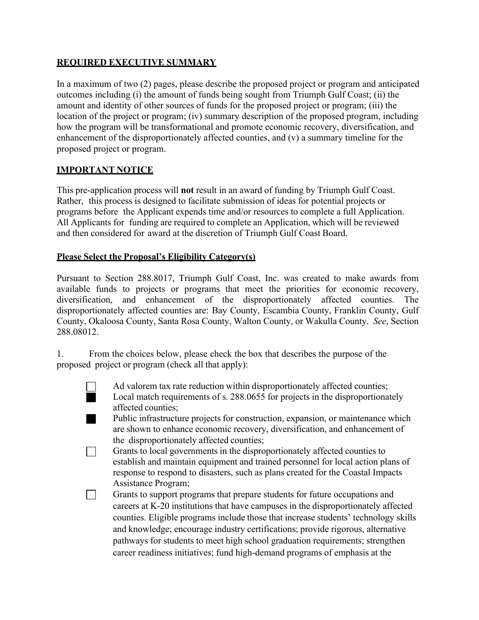## **REQUIRED EXECUTIVE SUMMARY**

In a maximum of two (2) pages, please describe the proposed project or program and anticipated outcomes including (i) the amount of funds being sought from Triumph Gulf Coast; (ii) the amount and identity of other sources of funds for the proposed project or program; (iii) the location of the project or program; (iv) summary description of the proposed program, including how the program will be transformational and promote economic recovery, diversification, and enhancement of the disproportionately affected counties, and (v) a summary timeline for the proposed project or program.

### **IMPORTANT NOTICE**

This pre-application process will **not** result in an award of funding by Triumph Gulf Coast. Rather, this process is designed to facilitate submission of ideas for potential projects or programs before the Applicant expends time and/or resources to complete a full Application. All Applicants for funding are required to complete an Application, which will be reviewed and then considered for award at the discretion of Triumph Gulf Coast Board.

#### **Please Select the Proposal's Eligibility Category(s)**

Pursuant to Section 288.8017, Triumph Gulf Coast, Inc. was created to make awards from available funds to projects or programs that meet the priorities for economic recovery, diversification, and enhancement of the disproportionately affected counties. The disproportionately affected counties are: Bay County, Escambia County, Franklin County, Gulf County, Okaloosa County, Santa Rosa County, Walton County, or Wakulla County. *See*, Section 288.08012.

1. From the choices below, please check the box that describes the purpose of the proposed project or program (check all that apply):

- 
- Ad valorem tax rate reduction within disproportionately affected counties; Local match requirements of s. 288.0655 for projects in the disproportionately affected counties;
	- Public infrastructure projects for construction, expansion, or maintenance which . are shown to enhance economic recovery, diversification, and enhancement of the disproportionately affected counties;
- Grants to local governments in the disproportionately affected counties to  $\Box$ establish and maintain equipment and trained personnel for local action plans of response to respond to disasters, such as plans created for the Coastal Impacts Assistance Program;
- Grants to support programs that prepare students for future occupations and  $\Box$ careers at K-20 institutions that have campuses in the disproportionately affected counties. Eligible programs include those that increase students' technology skills and knowledge; encourage industry certifications; provide rigorous, alternative pathways for students to meet high school graduation requirements; strengthen career readiness initiatives; fund high-demand programs of emphasis at the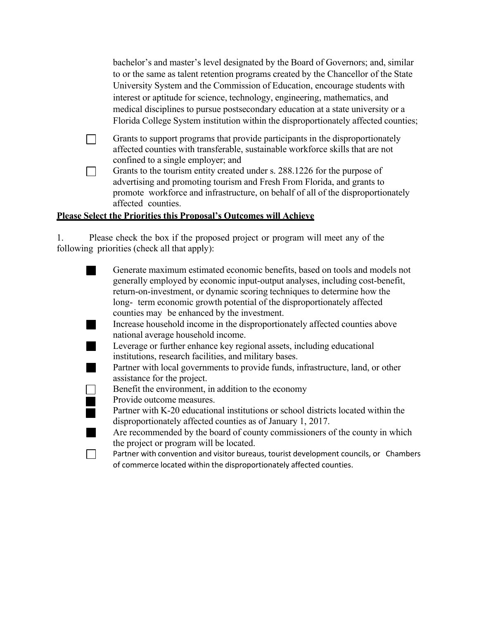| bachelor's and master's level designated by the Board of Governors; and, similar    |
|-------------------------------------------------------------------------------------|
| to or the same as talent retention programs created by the Chancellor of the State  |
| University System and the Commission of Education, encourage students with          |
| interest or aptitude for science, technology, engineering, mathematics, and         |
| medical disciplines to pursue postsecondary education at a state university or a    |
| Florida College System institution within the disproportionately affected counties; |

Grants to support programs that provide participants in the disproportionately  $\Box$ affected counties with transferable, sustainable workforce skills that are not confined to a single employer; and

Grants to the tourism entity created under s. 288.1226 for the purpose of  $\Box$ advertising and promoting tourism and Fresh From Florida, and grants to promote workforce and infrastructure, on behalf of all of the disproportionately affected counties.

## **Please Select the Priorities this Proposal's Outcomes will Achieve**

1. Please check the box if the proposed project or program will meet any of the following priorities (check all that apply):

| Generate maximum estimated economic benefits, based on tools and models not<br>generally employed by economic input-output analyses, including cost-benefit, |
|--------------------------------------------------------------------------------------------------------------------------------------------------------------|
| return-on-investment, or dynamic scoring techniques to determine how the                                                                                     |
| long- term economic growth potential of the disproportionately affected                                                                                      |
| counties may be enhanced by the investment.                                                                                                                  |
| Increase household income in the disproportionately affected counties above                                                                                  |
| national average household income.                                                                                                                           |
| Leverage or further enhance key regional assets, including educational                                                                                       |
| institutions, research facilities, and military bases.                                                                                                       |
| Partner with local governments to provide funds, infrastructure, land, or other                                                                              |
| assistance for the project.                                                                                                                                  |
| Benefit the environment, in addition to the economy                                                                                                          |
| Provide outcome measures.                                                                                                                                    |
| Partner with K-20 educational institutions or school districts located within the                                                                            |
| disproportionately affected counties as of January 1, 2017.                                                                                                  |
| Are recommended by the board of county commissioners of the county in which                                                                                  |
| the project or program will be located.                                                                                                                      |
| Partner with convention and visitor bureaus, tourist development councils, or Chambers                                                                       |
| of commerce located within the disproportionately affected counties.                                                                                         |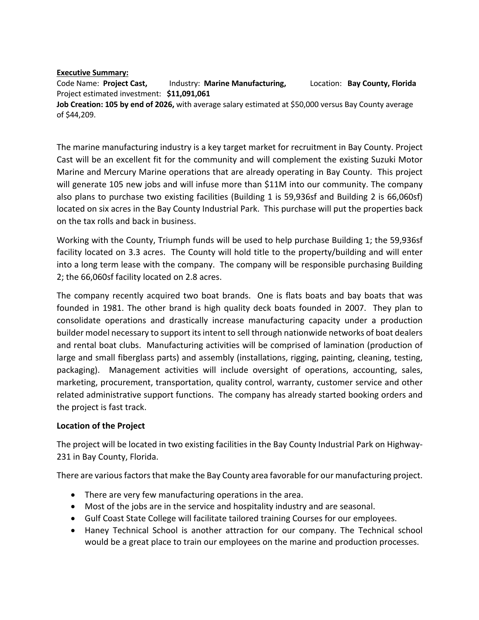#### **Executive Summary:**

Code Name: **Project Cast,** Industry: **Marine Manufacturing,** Location: **Bay County, Florida** Project estimated investment: **\$11,091,061 Job Creation: 105 by end of 2026,** with average salary estimated at \$50,000 versus Bay County average of \$44,209.

The marine manufacturing industry is a key target market for recruitment in Bay County. Project Cast will be an excellent fit for the community and will complement the existing Suzuki Motor Marine and Mercury Marine operations that are already operating in Bay County. This project will generate 105 new jobs and will infuse more than \$11M into our community. The company also plans to purchase two existing facilities (Building 1 is 59,936sf and Building 2 is 66,060sf) located on six acres in the Bay County Industrial Park. This purchase will put the properties back on the tax rolls and back in business.

Working with the County, Triumph funds will be used to help purchase Building 1; the 59,936sf facility located on 3.3 acres. The County will hold title to the property/building and will enter into a long term lease with the company. The company will be responsible purchasing Building 2; the 66,060sf facility located on 2.8 acres.

The company recently acquired two boat brands. One is flats boats and bay boats that was founded in 1981. The other brand is high quality deck boats founded in 2007. They plan to consolidate operations and drastically increase manufacturing capacity under a production builder model necessary to support its intent to sell through nationwide networks of boat dealers and rental boat clubs. Manufacturing activities will be comprised of lamination (production of large and small fiberglass parts) and assembly (installations, rigging, painting, cleaning, testing, packaging). Management activities will include oversight of operations, accounting, sales, marketing, procurement, transportation, quality control, warranty, customer service and other related administrative support functions. The company has already started booking orders and the project is fast track.

#### **Location of the Project**

The project will be located in two existing facilities in the Bay County Industrial Park on Highway-231 in Bay County, Florida.

There are various factors that make the Bay County area favorable for our manufacturing project.

- There are very few manufacturing operations in the area.
- Most of the jobs are in the service and hospitality industry and are seasonal.
- Gulf Coast State College will facilitate tailored training Courses for our employees.
- Haney Technical School is another attraction for our company. The Technical school would be a great place to train our employees on the marine and production processes.